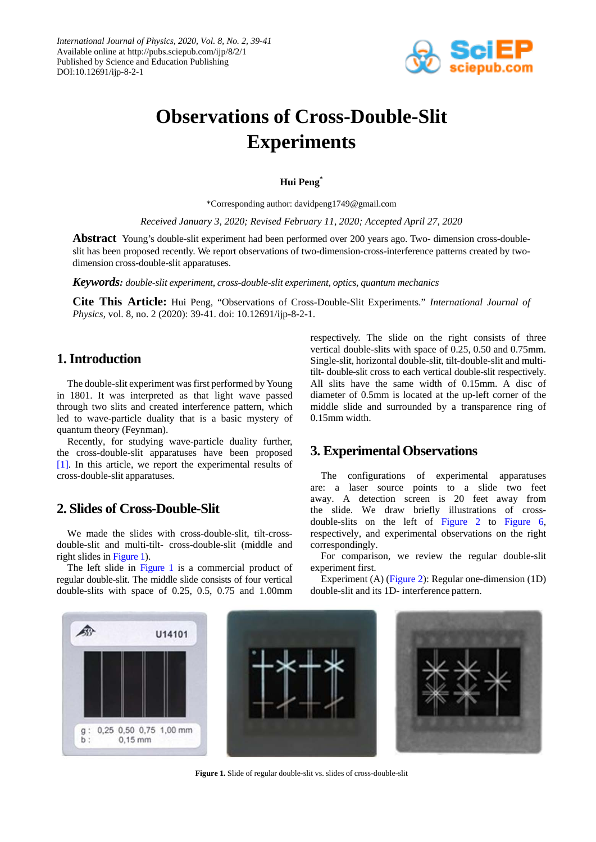

# **Observations of Cross-Double-Slit Experiments**

**Hui Peng\***

\*Corresponding author: davidpeng1749@gmail.com

*Received January 3, 2020; Revised February 11, 2020; Accepted April 27, 2020*

**Abstract** Young's double-slit experiment had been performed over 200 years ago. Two- dimension cross-doubleslit has been proposed recently. We report observations of two-dimension-cross-interference patterns created by twodimension cross-double-slit apparatuses.

*Keywords: double-slit experiment, cross-double-slit experiment, optics, quantum mechanics*

**Cite This Article:** Hui Peng, "Observations of Cross-Double-Slit Experiments." *International Journal of Physics*, vol. 8, no. 2 (2020): 39-41. doi: 10.12691/ijp-8-2-1.

#### **1. Introduction**

The double-slit experiment was first performed by Young in 1801. It was interpreted as that light wave passed through two slits and created interference pattern, which led to wave-particle duality that is a basic mystery of quantum theory (Feynman).

Recently, for studying wave-particle duality further, the cross-double-slit apparatuses have been proposed [\[1\].](#page-2-0) In this article, we report the experimental results of cross-double-slit apparatuses.

### **2. Slides of Cross-Double-Slit**

We made the slides with cross-double-slit, tilt-crossdouble-slit and multi-tilt- cross-double-slit (middle and right slides in [Figure 1\)](#page-0-0).

The left slide in [Figure 1](#page-0-0) is a commercial product of regular double-slit. The middle slide consists of four vertical double-slits with space of 0.25, 0.5, 0.75 and 1.00mm

respectively. The slide on the right consists of three vertical double-slits with space of 0.25, 0.50 and 0.75mm. Single-slit, horizontal double-slit, tilt-double-slit and multitilt- double-slit cross to each vertical double-slit respectively. All slits have the same width of 0.15mm. A disc of diameter of 0.5mm is located at the up-left corner of the middle slide and surrounded by a transparence ring of 0.15mm width.

### **3. Experimental Observations**

The configurations of experimental apparatuses are: a laser source points to a slide two feet away. A detection screen is 20 feet away from the slide. We draw briefly illustrations of crossdouble-slits on the left of Figure 2 to [Figure 6,](#page-1-0) respectively, and experimental observations on the right correspondingly.

For comparison, we review the regular double-slit experiment first.

Experiment (A) (Figure 2): Regular one-dimension (1D) double-slit and its 1D- interference pattern.

<span id="page-0-0"></span>

**Figure 1.** Slide of regular double-slit vs. slides of cross-double-slit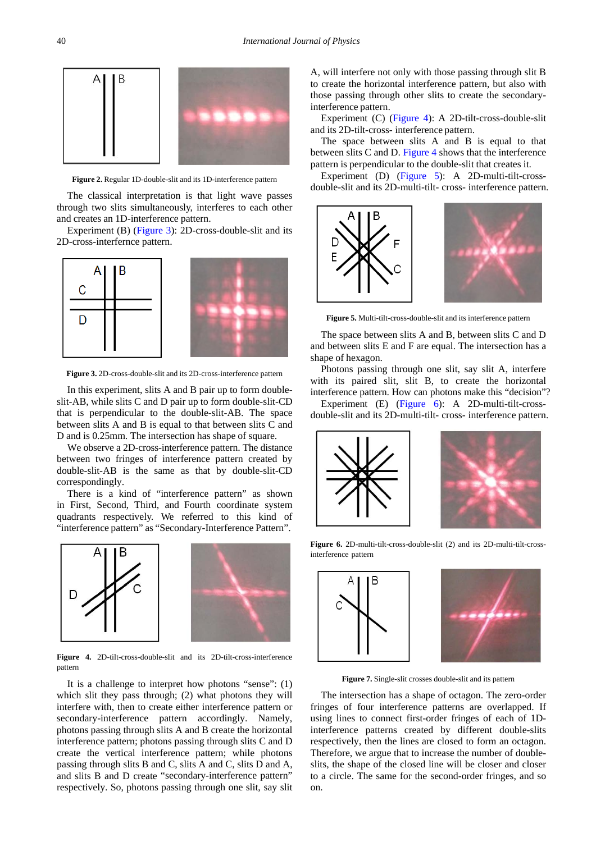

**Figure 2.** Regular 1D-double-slit and its 1D-interference pattern

The classical interpretation is that light wave passes through two slits simultaneously, interferes to each other and creates an 1D-interference pattern.

Experiment (B) [\(Figure 3\)](#page-1-1): 2D-cross-double-slit and its 2D-cross-interfernce pattern.

<span id="page-1-1"></span>

**Figure 3.** 2D-cross-double-slit and its 2D-cross-interference pattern

In this experiment, slits A and B pair up to form doubleslit-AB, while slits C and D pair up to form double-slit-CD that is perpendicular to the double-slit-AB. The space between slits A and B is equal to that between slits C and D and is 0.25mm. The intersection has shape of square.

We observe a 2D-cross-interference pattern. The distance between two fringes of interference pattern created by double-slit-AB is the same as that by double-slit-CD correspondingly.

There is a kind of "interference pattern" as shown in First, Second, Third, and Fourth coordinate system quadrants respectively. We referred to this kind of "interference pattern" as "Secondary-Interference Pattern".

<span id="page-1-2"></span>

**Figure 4.** 2D-tilt-cross-double-slit and its 2D-tilt-cross-interference pattern

It is a challenge to interpret how photons "sense": (1) which slit they pass through; (2) what photons they will interfere with, then to create either interference pattern or secondary-interference pattern accordingly. Namely, photons passing through slits A and B create the horizontal interference pattern; photons passing through slits C and D create the vertical interference pattern; while photons passing through slits B and C, slits A and C, slits D and A, and slits B and D create "secondary-interference pattern" respectively. So, photons passing through one slit, say slit A, will interfere not only with those passing through slit B to create the horizontal interference pattern, but also with those passing through other slits to create the secondaryinterference pattern.

Experiment (C) [\(Figure 4\)](#page-1-2): A 2D-tilt-cross-double-slit and its 2D-tilt-cross- interference pattern.

The space between slits A and B is equal to that between slits C and D. [Figure 4](#page-1-2) shows that the interference pattern is perpendicular to the double-slit that creates it.

Experiment (D) [\(Figure 5\)](#page-1-3): A 2D-multi-tilt-crossdouble-slit and its 2D-multi-tilt- cross- interference pattern.

<span id="page-1-3"></span>

**Figure 5.** Multi-tilt-cross-double-slit and its interference pattern

The space between slits A and B, between slits C and D and between slits E and F are equal. The intersection has a shape of hexagon.

Photons passing through one slit, say slit A, interfere with its paired slit, slit B, to create the horizontal interference pattern. How can photons make this "decision"?

Experiment (E) [\(Figure 6\)](#page-1-0): A 2D-multi-tilt-crossdouble-slit and its 2D-multi-tilt- cross- interference pattern.

<span id="page-1-0"></span>



**Figure 6.** 2D-multi-tilt-cross-double-slit (2) and its 2D-multi-tilt-crossinterference pattern

<span id="page-1-4"></span>



**Figure 7.** Single-slit crosses double-slit and its pattern

The intersection has a shape of octagon. The zero-order fringes of four interference patterns are overlapped. If using lines to connect first-order fringes of each of 1Dinterference patterns created by different double-slits respectively, then the lines are closed to form an octagon. Therefore, we argue that to increase the number of doubleslits, the shape of the closed line will be closer and closer to a circle. The same for the second-order fringes, and so on.